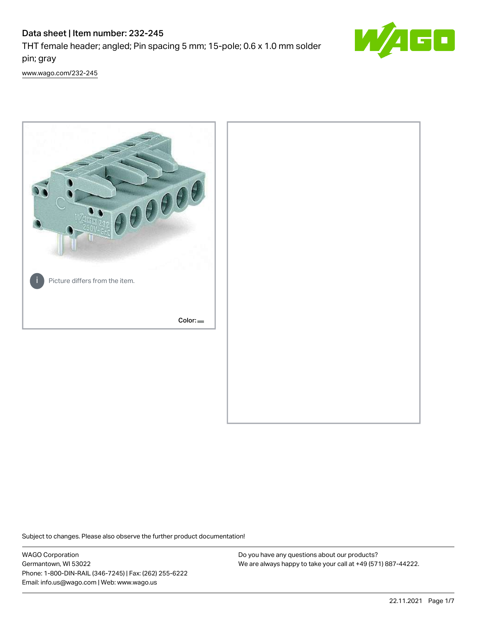# Data sheet | Item number: 232-245

THT female header; angled; Pin spacing 5 mm; 15-pole; 0.6 x 1.0 mm solder pin; gray



[www.wago.com/232-245](http://www.wago.com/232-245)



Subject to changes. Please also observe the further product documentation!

WAGO Corporation Germantown, WI 53022 Phone: 1-800-DIN-RAIL (346-7245) | Fax: (262) 255-6222 Email: info.us@wago.com | Web: www.wago.us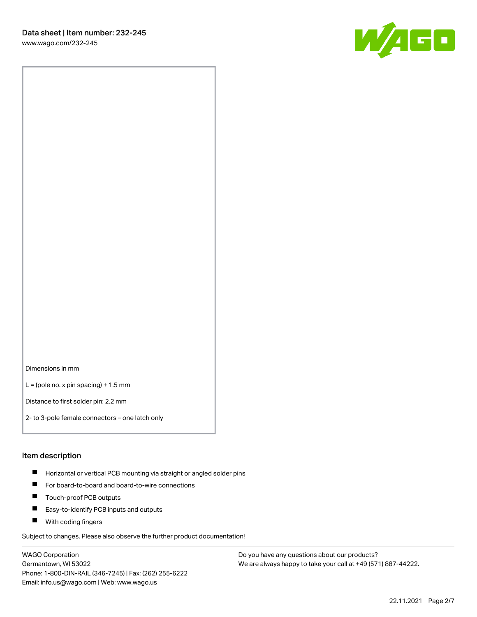[www.wago.com/232-245](http://www.wago.com/232-245)



Dimensions in mm

 $L =$  (pole no. x pin spacing) + 1.5 mm

Distance to first solder pin: 2.2 mm

2- to 3-pole female connectors – one latch only

#### Item description

- **Horizontal or vertical PCB mounting via straight or angled solder pins**
- For board-to-board and board-to-wire connections
- $\blacksquare$ Touch-proof PCB outputs
- $\blacksquare$ Easy-to-identify PCB inputs and outputs
- **Now With coding fingers**

Subject to changes. Please also observe the further product documentation!

WAGO Corporation Germantown, WI 53022 Phone: 1-800-DIN-RAIL (346-7245) | Fax: (262) 255-6222 Email: info.us@wago.com | Web: www.wago.us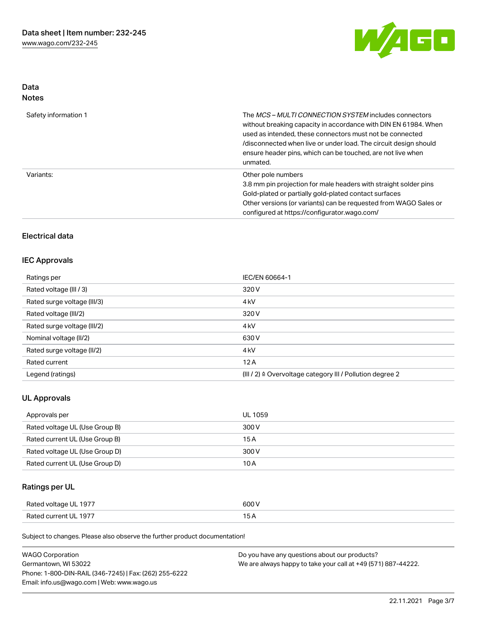

## Data Notes

| Safety information 1 | The MCS-MULTI CONNECTION SYSTEM includes connectors<br>without breaking capacity in accordance with DIN EN 61984. When<br>used as intended, these connectors must not be connected<br>/disconnected when live or under load. The circuit design should<br>ensure header pins, which can be touched, are not live when<br>unmated. |
|----------------------|-----------------------------------------------------------------------------------------------------------------------------------------------------------------------------------------------------------------------------------------------------------------------------------------------------------------------------------|
| Variants:            | Other pole numbers<br>3.8 mm pin projection for male headers with straight solder pins<br>Gold-plated or partially gold-plated contact surfaces<br>Other versions (or variants) can be requested from WAGO Sales or<br>configured at https://configurator.wago.com/                                                               |

# Electrical data

## IEC Approvals

| Ratings per                 | IEC/EN 60664-1                                                       |
|-----------------------------|----------------------------------------------------------------------|
| Rated voltage (III / 3)     | 320 V                                                                |
| Rated surge voltage (III/3) | 4 <sub>k</sub> V                                                     |
| Rated voltage (III/2)       | 320 V                                                                |
| Rated surge voltage (III/2) | 4 <sub>k</sub> V                                                     |
| Nominal voltage (II/2)      | 630 V                                                                |
| Rated surge voltage (II/2)  | 4 <sub>k</sub> V                                                     |
| Rated current               | 12A                                                                  |
| Legend (ratings)            | (III / 2) $\triangleq$ Overvoltage category III / Pollution degree 2 |

## UL Approvals

| Approvals per                  | UL 1059 |
|--------------------------------|---------|
| Rated voltage UL (Use Group B) | 300 V   |
| Rated current UL (Use Group B) | 15 A    |
| Rated voltage UL (Use Group D) | 300 V   |
| Rated current UL (Use Group D) | 10 A    |

# Ratings per UL

| Rated voltage UL 1977 | 600 V |
|-----------------------|-------|
| Rated current UL 1977 |       |

Subject to changes. Please also observe the further product documentation!

| <b>WAGO Corporation</b>                                | Do you have any questions about our products?                 |
|--------------------------------------------------------|---------------------------------------------------------------|
| Germantown, WI 53022                                   | We are always happy to take your call at +49 (571) 887-44222. |
| Phone: 1-800-DIN-RAIL (346-7245)   Fax: (262) 255-6222 |                                                               |
| Email: info.us@wago.com   Web: www.wago.us             |                                                               |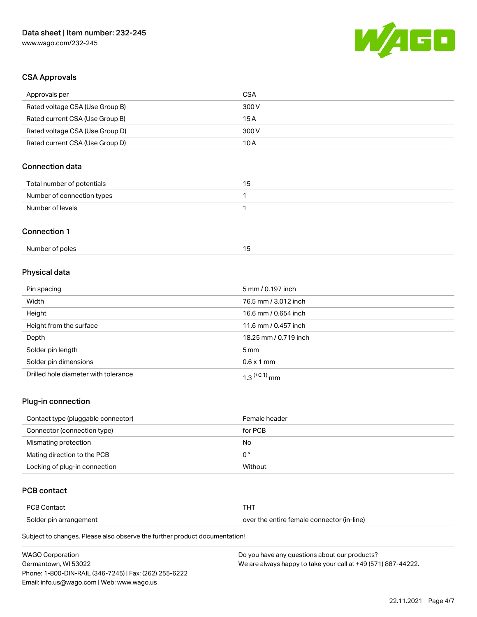

## CSA Approvals

| Approvals per                   | <b>CSA</b>            |
|---------------------------------|-----------------------|
| Rated voltage CSA (Use Group B) | 300V                  |
| Rated current CSA (Use Group B) | 15A                   |
| Rated voltage CSA (Use Group D) | 300V                  |
| Rated current CSA (Use Group D) | 10A                   |
| <b>Connection data</b>          |                       |
| Total number of potentials      | 15                    |
| Number of connection types      | 1                     |
| Number of levels                | $\mathbf{1}$          |
| <b>Connection 1</b>             |                       |
| Number of poles                 | 15                    |
| Physical data                   |                       |
| Pin spacing                     | 5 mm / 0.197 inch     |
| Width                           | 76.5 mm / 3.012 inch  |
| Height                          | 16.6 mm / 0.654 inch  |
| Height from the surface         | 11.6 mm / 0.457 inch  |
| Depth                           | 18.25 mm / 0.719 inch |
| Solder pin length               | 5 <sub>mm</sub>       |

| Solder pin dimensions                | $0.6 \times 1$ mm |
|--------------------------------------|-------------------|
| Drilled hole diameter with tolerance | mm                |

# Plug-in connection

| Contact type (pluggable connector) | Female header |
|------------------------------------|---------------|
| Connector (connection type)        | for PCB       |
| Mismating protection               | No            |
| Mating direction to the PCB        | 0°            |
| Locking of plug-in connection      | Without       |

# PCB contact

| <b>PCB Contact</b>     | п.                                         |
|------------------------|--------------------------------------------|
| Solder pin arrangement | over the entire female connector (in-line) |

Subject to changes. Please also observe the further product documentation!

| <b>WAGO Corporation</b>                                | Do you have any questions about our products?                 |
|--------------------------------------------------------|---------------------------------------------------------------|
| Germantown, WI 53022                                   | We are always happy to take your call at +49 (571) 887-44222. |
| Phone: 1-800-DIN-RAIL (346-7245)   Fax: (262) 255-6222 |                                                               |
| Email: info.us@wago.com   Web: www.wago.us             |                                                               |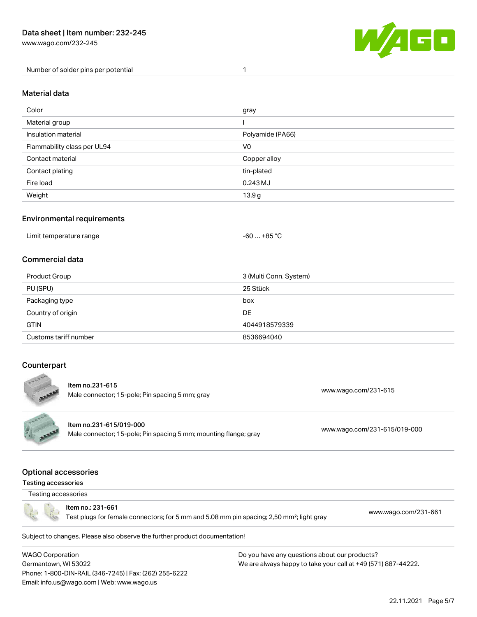[www.wago.com/232-245](http://www.wago.com/232-245)

Number of solder pins per potential 1



#### Material data

| Color                       | gray             |
|-----------------------------|------------------|
| Material group              |                  |
| Insulation material         | Polyamide (PA66) |
| Flammability class per UL94 | V <sub>0</sub>   |
| Contact material            | Copper alloy     |
| Contact plating             | tin-plated       |
| Fire load                   | 0.243 MJ         |
| Weight                      | 13.9g            |

### Environmental requirements

## Commercial data

| Product Group         | 3 (Multi Conn. System) |
|-----------------------|------------------------|
| PU (SPU)              | 25 Stück               |
| Packaging type        | box                    |
| Country of origin     | DE                     |
| <b>GTIN</b>           | 4044918579339          |
| Customs tariff number | 8536694040             |

## **Counterpart**



Subject to changes. Please also observe the further product documentation!

WAGO Corporation Germantown, WI 53022 Phone: 1-800-DIN-RAIL (346-7245) | Fax: (262) 255-6222 Email: info.us@wago.com | Web: www.wago.us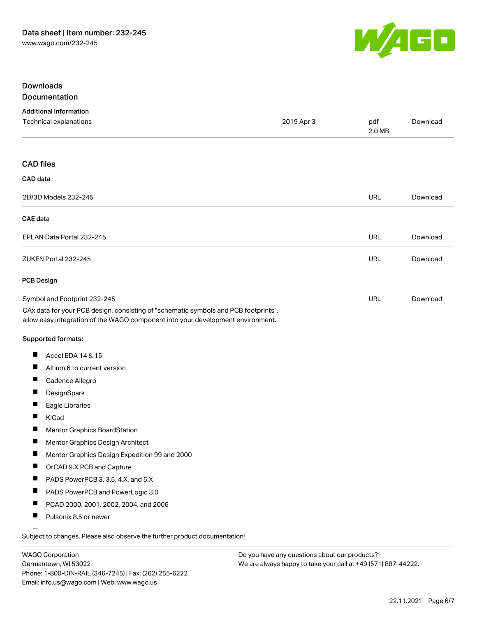

## Downloads Documentation

## Additional Information Technical explanations 2019 Apr 3 pdf [Download](https://www.wago.com/global/d/1435602) 2.0 MB CAD files CAD data 2D/3D Models 232-245 URL [Download](https://www.wago.com/global/d/3D_URLS_232-245) CAE data EPLAN Data Portal 232-245 URL [Download](https://www.wago.com/global/d/EPLAN_URLS_232-245) ZUKEN Portal 232-245 URL [Download](https://www.wago.com/global/d/Zuken_URLS_232-245) PCB Design Symbol and Footprint 232-245 URL [Download](https://www.wago.com/global/d/UltraLibrarian_URLS_232-245)CAx data for your PCB design, consisting of "schematic symbols and PCB footprints", allow easy integration of the WAGO component into your development environment. Supported formats:  $\blacksquare$ Accel EDA 14 & 15 П Altium 6 to current version П Cadence Allegro П **DesignSpark**  $\blacksquare$ Eagle Libraries  $\blacksquare$ KiCad  $\blacksquare$ Mentor Graphics BoardStation П Mentor Graphics Design Architect П Mentor Graphics Design Expedition 99 and 2000  $\blacksquare$ OrCAD 9.X PCB and Capture  $\blacksquare$ PADS PowerPCB 3, 3.5, 4.X, and 5.X  $\blacksquare$ PADS PowerPCB and PowerLogic 3.0 П PCAD 2000, 2001, 2002, 2004, and 2006 П Pulsonix 8.5 or newer

Subject to changes. Please also observe the further product documentation!

WAGO Corporation Germantown, WI 53022 Phone: 1-800-DIN-RAIL (346-7245) | Fax: (262) 255-6222 Email: info.us@wago.com | Web: www.wago.us